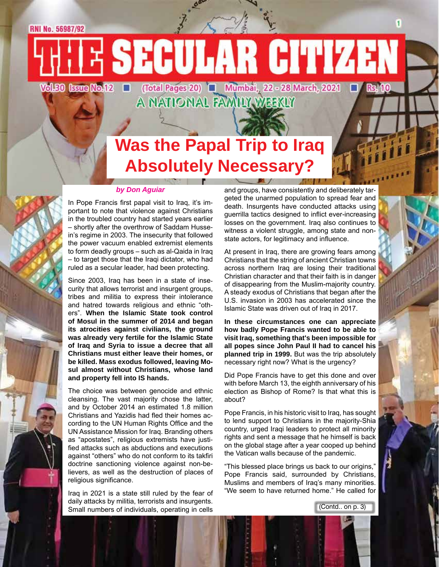RNI No. 56987/92

E SECULAR CITIZEN Vol.50 Issue No.12 O **Rs. 10** 

(Total Pages 20) **Q** Mumbai, 22 - 28 March, 2021<br>A NATIONAL FAMILY WEEKLY

## **Was the Papal Trip to Iraq Absolutely Necessary?**

#### *by Don Aguiar*

In Pope Francis first papal visit to Iraq, it's important to note that violence against Christians in the troubled country had started years earlier – shortly after the overthrow of Saddam Hussein's regime in 2003. The insecurity that followed the power vacuum enabled extremist elements to form deadly groups – such as al-Qaida in Iraq – to target those that the Iraqi dictator, who had ruled as a secular leader, had been protecting.

Since 2003, Iraq has been in a state of insecurity that allows terrorist and insurgent groups, tribes and militia to express their intolerance and hatred towards religious and ethnic "others". **When the Islamic State took control of Mosul in the summer of 2014 and began its atrocities against civilians, the ground was already very fertile for the Islamic State of Iraq and Syria to issue a decree that all Christians must either leave their homes, or be killed. Mass exodus followed, leaving Mosul almost without Christians, whose land and property fell into IS hands.**

The choice was between genocide and ethnic cleansing. The vast majority chose the latter, and by October 2014 an estimated 1.8 million Christians and Yazidis had fled their homes according to the UN Human Rights Office and the UN Assistance Mission for Iraq. Branding others as "apostates", religious extremists have justified attacks such as abductions and executions against "others" who do not conform to its takfiri doctrine sanctioning violence against non-believers, as well as the destruction of places of religious significance.

Iraq in 2021 is a state still ruled by the fear of daily attacks by militia, terrorists and insurgents. Small numbers of individuals, operating in cells

and groups, have consistently and deliberately targeted the unarmed population to spread fear and death. Insurgents have conducted attacks using guerrilla tactics designed to inflict ever-increasing losses on the government. Iraq also continues to witness a violent struggle, among state and nonstate actors, for legitimacy and influence.

At present in Iraq, there are growing fears among Christians that the string of ancient Christian towns across northern Iraq are losing their traditional Christian character and that their faith is in danger of disappearing from the Muslim-majority country. A steady exodus of Christians that began after the U.S. invasion in 2003 has accelerated since the Islamic State was driven out of Iraq in 2017.

**In these circumstances one can appreciate how badly Pope Francis wanted to be able to visit Iraq, something that's been impossible for all popes since John Paul II had to cancel his planned trip in 1999.** But was the trip absolutely necessary right now? What is the urgency?

Did Pope Francis have to get this done and over with before March 13, the eighth anniversary of his election as Bishop of Rome? Is that what this is about?

Pope Francis, in his historic visit to Iraq, has sought to lend support to Christians in the majority-Shia country, urged Iraqi leaders to protect all minority rights and sent a message that he himself is back on the global stage after a year cooped up behind the Vatican walls because of the pandemic.

"This blessed place brings us back to our origins," Pope Francis said, surrounded by Christians, Muslims and members of Iraq's many minorities. "We seem to have returned home." He called for

(Contd.. on p. 3)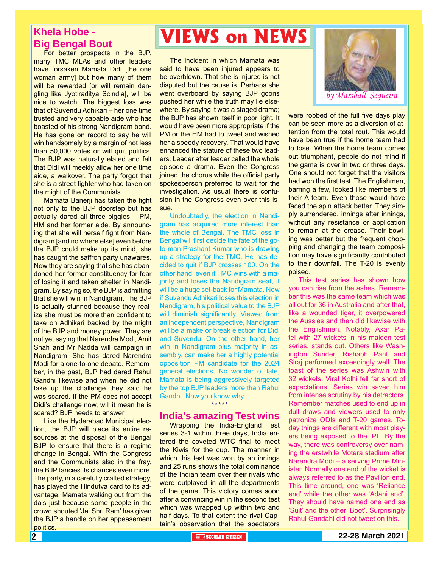### **Khela Hobe - Big Bengal Bout**

For better prospects in the BJP, many TMC MLAs and other leaders have forsaken Mamata Didi [the one woman army] but how many of them will be rewarded [or will remain dangling like Jyotiraditya Scindia], will be nice to watch. The biggest loss was that of Suvendu Adhikari – her one time trusted and very capable aide who has boasted of his strong Nandigram bond. He has gone on record to say he will win handsomely by a margin of not less than 50,000 votes or will quit politics. The BJP was naturally elated and felt that Didi will meekly allow her one time aide, a walkover. The party forgot that she is a street fighter who had taken on the might of the Communists.

Mamata Banerji has taken the fight not only to the BJP doorstep but has actually dared all three biggies – PM, HM and her former aide. By announcing that she will herself fight from Nandigram [and no where else] even before the BJP could make up its mind, she has caught the saffron party unawares. Now they are saying that she has abandoned her former constituency for fear of losing it and taken shelter in Nandigram. By saying so, the BJP is admitting that she will win in Nandigram. The BJP is actually stunned because they realize she must be more than confident to take on Adhikari backed by the might of the BJP and money power. They are not yet saying that Narendra Modi, Amit Shah and Mr Nadda will campaign in Nandigram. She has dared Narendra Modi for a one-to-one debate. Remember, in the past, BJP had dared Rahul Gandhi likewise and when he did not take up the challenge they said he was scared. If the PM does not accept Didi's challenge now, will it mean he is scared? BJP needs to answer.

Like the Hyderabad Municipal election, the BJP will place its entire resources at the disposal of the Bengal BJP to ensure that there is a regime change in Bengal. With the Congress and the Communists also in the fray, the BJP fancies its chances even more. The party, in a carefully crafted strategy, has played the Hindutva card to its advantage. Mamata walking out from the dais just because some people in the crowd shouted 'Jai Shri Ram' has given the BJP a handle on her appeasement politics.

# **VIEWS on NEWS**

The incident in which Mamata was said to have been injured appears to be overblown. That she is injured is not disputed but the cause is. Perhaps she went overboard by saying BJP goons pushed her while the truth may lie elsewhere. By saying it was a staged drama; the BJP has shown itself in poor light. It would have been more appropriate if the PM or the HM had to tweet and wished her a speedy recovery. That would have enhanced the stature of these two leaders. Leader after leader called the whole episode a drama. Even the Congress joined the chorus while the official party spokesperson preferred to wait for the investigation. As usual there is confusion in the Congress even over this issue.

Undoubtedly, the election in Nandigram has acquired more interest than the whole of Bengal. The TMC loss in Bengal will first decide the fate of the goto-man Prashant Kumar who is drawing up a strategy for the TMC. He has decided to quit if BJP crosses 100. On the other hand, even if TMC wins with a majority and loses the Nandigram seat, it will be a huge set-back for Mamata. Now if Suvendu Adhikari loses this election in Nandigram, his political value to the BJP will diminish significantly. Viewed from an independent perspective, Nandigram will be a make or break election for Didi and Suvendu. On the other hand, her win in Nandigram plus majority in assembly, can make her a highly potential opposition PM candidate for the 2024 general elections. No wonder of late, Mamata is being aggressively targeted by the top BJP leaders more than Rahul Gandhi. Now you know why. \*\*\*\*\*

### **India's amazing Test wins**

Wrapping the India-England Test series 3-1 within three days, India entered the coveted WTC final to meet the Kiwis for the cup. The manner in which this test was won by an innings and 25 runs shows the total dominance of the Indian team over their rivals who were outplayed in all the departments of the game. This victory comes soon after a convincing win in the second test which was wrapped up within two and half days. To that extent the rival Captain's observation that the spectators



were robbed of the full five days play can be seen more as a diversion of attention from the total rout. This would have been true if the home team had to lose. When the home team comes out triumphant, people do not mind if the game is over in two or three days. One should not forget that the visitors had won the first test. The Englishmen, barring a few, looked like members of their A team. Even those would have faced the spin attack better. They simply surrendered, innings after innings, without any resistance or application to remain at the crease. Their bowling was better but the frequent chopping and changing the team composition may have significantly contributed to their downfall. The T-20 is evenly poised.

This test series has shown how you can rise from the ashes. Remember this was the same team which was all out for 36 in Australia and after that, like a wounded tiger, it overpowered the Aussies and then did likewise with the Englishmen. Notably, Axar Patel with 27 wickets in his maiden test series, stands out. Others like Washington Sunder, Rishabh Pant and Siraj performed exceedingly well. The toast of the series was Ashwin with 32 wickets. Virat Kolhi fell far short of expectations. Series win saved him from intense scrutiny by his detractors. Remember matches used to end up in dull draws and viewers used to only patronize ODIs and T-20 games. Today things are different with most players being exposed to the IPL. By the way, there was controversy over naming the erstwhile Motera stadium after Narendra Modi – a serving Prime Minister. Normally one end of the wicket is always referred to as the Pavilion end. This time around, one was 'Reliance end' while the other was 'Adani end'. They should have named one end as 'Suit' and the other 'Boot'. Surprisingly Rahul Gandahi did not tweet on this.

2 **THE SECULAR CITIZEN 22-28 March 2021**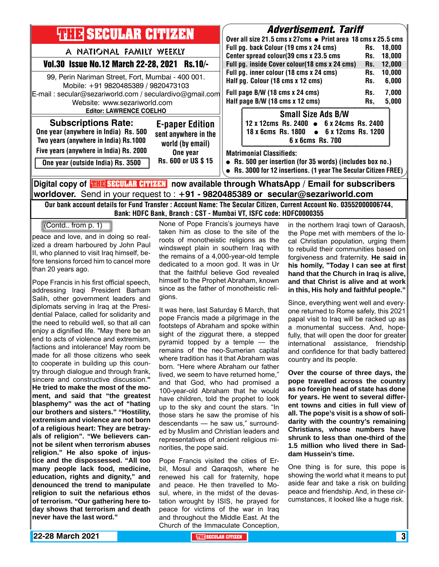| <b>THE SECULAR CITIZEN</b>                                                                                                                                                                                          | <b>Advertisement. Tariff</b><br>Over all size 21.5 cms x 27cms $\bullet$ Print area 18 cms x 25.5 cms                                                                                                               |
|---------------------------------------------------------------------------------------------------------------------------------------------------------------------------------------------------------------------|---------------------------------------------------------------------------------------------------------------------------------------------------------------------------------------------------------------------|
| A NATIONAL FAMILY WEEKLY<br>Vol.30 Issue No.12 March 22-28, 2021<br>$Rs.10/-$                                                                                                                                       | Full pg. back Colour (19 cms x 24 cms)<br>18.000<br>Rs.<br>Center spread colour(39 cms x 23.5 cms<br>18.000<br>Rs.<br>Full pg. inside Cover colour(18 cms x 24 cms)<br>12,000<br>Rs.                                |
| 99, Perin Nariman Street, Fort, Mumbai - 400 001.<br>Mobile: +91 9820485389 / 9820473103<br>E-mail: secular@sezariworld.com / seculardivo@gmail.com<br>Website: www.sezariworld.com                                 | Full pg. inner colour (18 cms x 24 cms)<br>10,000<br>Rs.<br>Half pg. Colour (18 cms x 12 cms)<br>6,000<br>Rs.<br>Full page B/W (18 cms x 24 cms)<br>7,000<br>Rs.<br>Half page B/W (18 cms x 12 cms)<br>5,000<br>Rs. |
| <b>Editor: LAWRENCE COELHO</b><br><b>Subscriptions Rate:</b><br><b>E-paper Edition</b><br>One year (anywhere in India) Rs. 500<br>sent anywhere in the<br>Two years (anywhere in India) Rs.1000<br>world (by email) | <b>Small Size Ads B/W</b><br>12 x 12cms Rs. 2400 • 6 x 24cms Rs. 2400<br>18 x 6cms Rs. 1800 • 6 x 12cms Rs. 1200<br>6 x 6cms Rs. 700                                                                                |
| Five years (anywhere in India) Rs. 2000<br>One year<br>Rs. 600 or US \$15<br>One year (outside India) Rs. 3500                                                                                                      | <b>Matrimonial Classifieds:</b><br>• Rs. 500 per insertion (for 35 words) (includes box no.)<br>• Rs. 3000 for 12 insertions. (1 year The Secular Citizen FREE)                                                     |
| Digital copy of <mark>珊瞎SECULAR CITIZEN</mark> now available through WhatsApp / Email for subscribers                                                                                                               |                                                                                                                                                                                                                     |

**worldover.** Send in your request to : **+91 - 9820485389 or secular@sezariworld.com**

Our bank account details for Fund Transfer : Account Name: The Secular Citizen, Current Account No. 03552000006744, Bank: HDFC Bank, Branch : CST - Mumbai VT, ISFC code: HDFC0000355

(Contd.. from p. 1)

peace and love, and in doing so realized a dream harboured by John Paul II, who planned to visit Iraq himself, before tensions forced him to cancel more than 20 years ago.

Pope Francis in his first official speech, addressing Iraqi President Barham Salih, other government leaders and diplomats serving in Iraq at the Presidential Palace, called for solidarity and the need to rebuild well, so that all can enjoy a dignified life. "May there be an end to acts of violence and extremism, factions and intolerance! May room be made for all those citizens who seek to cooperate in building up this country through dialogue and through frank, sincere and constructive discussion.**" He tried to make the most of the moment, and said that "the greatest blasphemy" was the act of "hating our brothers and sisters." "Hostility, extremism and violence are not born of a religious heart: They are betrayals of religion". "We believers cannot be silent when terrorism abuses religion." He also spoke of injustice and the dispossessed. "All too many people lack food, medicine, education, rights and dignity," and denounced the trend to manipulate religion to suit the nefarious ethos of terrorism. "Our gathering here today shows that terrorism and death never have the last word."**

None of Pope Francis's journeys have taken him as close to the site of the roots of monotheistic religions as the windswept plain in southern Iraq with the remains of a 4,000-year-old temple dedicated to a moon god. It was in Ur that the faithful believe God revealed himself to the Prophet Abraham, known since as the father of monotheistic religions.

It was here, last Saturday 6 March, that pope Francis made a pilgrimage in the footsteps of Abraham and spoke within sight of the ziggurat there, a stepped pyramid topped by a temple — the remains of the neo-Sumerian capital where tradition has it that Abraham was born. "Here where Abraham our father lived, we seem to have returned home," and that God, who had promised a 100-year-old Abraham that he would have children, told the prophet to look up to the sky and count the stars. "In those stars he saw the promise of his descendants — he saw us," surrounded by Muslim and Christian leaders and representatives of ancient religious minorities, the pope said.

Pope Francis visited the cities of Erbil, Mosul and Qaraqosh, where he renewed his call for fraternity, hope and peace. He then travelled to Mosul, where, in the midst of the devastation wrought by ISIS, he prayed for peace for victims of the war in Iraq and throughout the Middle East. At the Church of the Immaculate Conception,

in the northern Iraqi town of Qaraosh, the Pope met with members of the local Christian population, urging them to rebuild their communities based on forgiveness and fraternity. **He said in his homily, "Today I can see at first hand that the Church in Iraq is alive, and that Christ is alive and at work in this, His holy and faithful people."**

Since, everything went well and everyone returned to Rome safely, this 2021 papal visit to Iraq will be racked up as a monumental success. And, hopefully, that will open the door for greater international assistance, friendship and confidence for that badly battered country and its people.

**Over the course of three days, the pope travelled across the country as no foreign head of state has done for years. He went to several different towns and cities in full view of all. The pope's visit is a show of solidarity with the country's remaining Christians, whose numbers have shrunk to less than one-third of the 1.5 million who lived there in Saddam Hussein's time.**

One thing is for sure, this pope is showing the world what it means to put aside fear and take a risk on building peace and friendship. And, in these circumstances, it looked like a huge risk.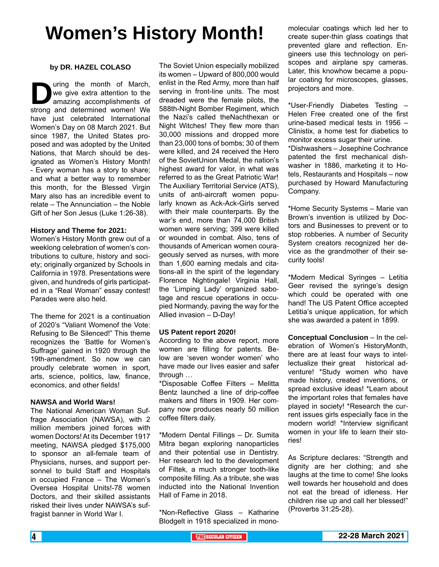# **Women's History Month!**

### **by DR. HAZEL COLASO**

**D**uring the month of March,<br>we give extra attention to the<br>amazing accomplishments of<br>strong and determined women! We we give extra attention to the amazing accomplishments of strong and determined women! We have just celebrated International Women's Day on 08 March 2021. But since 1987, the United States proposed and was adopted by the United Nations, that March should be designated as Women's History Month! - Every woman has a story to share; and what a better way to remember this month, for the Blessed Virgin Mary also has an incredible event to relate – The Annunciation – the Noble Gift of her Son Jesus (Luke 1:26-38).

#### **History and Theme for 2021:**

Women's History Month grew out of a weeklong celebration of women's contributions to culture, history and society; originally organized by Schools in California in 1978. Presentations were given, and hundreds of girls participated in a "Real Woman" essay contest! Parades were also held.

The theme for 2021 is a continuation of 2020's "Valiant Womenof the Vote: Refusing to Be Silenced!" This theme recognizes the 'Battle for Women's Suffrage' gained in 1920 through the 19th-amendment. So now we can proudly celebrate women in sport, arts, science, politics, law, finance, economics, and other fields!

### **NAWSA and World Wars!**

The National American Woman Suffrage Association (NAWSA), with 2 million members joined forces with women Doctors! At its December 1917 meeting, NAWSA pledged \$175,000 to sponsor an all-female team of Physicians, nurses, and support personnel to build Staff and Hospitals in occupied France – The Women's Oversea Hospital Units!-78 women Doctors, and their skilled assistants risked their lives under NAWSA's suffragist banner in World War I.

The Soviet Union especially mobilized its women – Upward of 800,000 would enlist in the Red Army, more than half serving in front-line units. The most dreaded were the female pilots, the 588th-Night Bomber Regiment, which the Nazi's called theNachthexan or Night Witches! They flew more than 30,000 missions and dropped more than 23,000 tons of bombs; 30 of them were killed, and 24 received the Hero of the SovietUnion Medal, the nation's highest award for valor, in what was referred to as the Great Patriotic War! The Auxiliary Territorial Service (ATS), units of anti-aircraft women popularly known as Ack-Ack-Girls served with their male counterparts. By the war's end, more than 74,000 British women were serving; 399 were killed or wounded in combat. Also, tens of thousands of American women courageously served as nurses, with more than 1,600 earning medals and citations-all in the spirit of the legendary Florence Nightingale! Virginia Hall, the 'Limping Lady' organized sabotage and rescue operations in occupied Normandy, paving the way for the Allied invasion – D-Day!

### **US Patent report 2020!**

According to the above report, more women are filling for patents. Below are 'seven wonder women' who have made our lives easier and safer through …

\*Disposable Coffee Filters – Melitta Bentz launched a line of drip-coffee makers and filters in 1909. Her company now produces nearly 50 million coffee filters daily.

\*Modern Dental Fillings – Dr. Sumita Mitra began exploring nanoparticles and their potential use in Dentistry. Her research led to the development of Filtek, a much stronger tooth-like composite filling. As a tribute, she was inducted into the National Invention Hall of Fame in 2018.

\*Non-Reflective Glass – Katharine Blodgelt in 1918 specialized in monomolecular coatings which led her to create super-thin glass coatings that prevented glare and reflection. Engineers use this technology on periscopes and airplane spy cameras. Later, this knowhow became a popular coating for microscopes, glasses, projectors and more.

\*User-Friendly Diabetes Testing – Helen Free created one of the first urine-based medical tests in 1956 – Clinistix, a home test for diabetics to monitor excess sugar their urine. \*Dishwashers – Josephine Cochrance patented the first mechanical dishwasher in 1886, marketing it to Hotels, Restaurants and Hospitals – now purchased by Howard Manufacturing Company.

\*Home Security Systems – Marie van Brown's invention is utilized by Doctors and Businesses to prevent or to stop robberies. A number of Security System creators recognized her device as the grandmother of their security tools!

\*Modern Medical Syringes – Letitia Geer revised the syringe's design which could be operated with one hand! The US Patent Office accepted Letitia's unique application, for which she was awarded a patent in 1899.

**Conceptual Conclusion** – In the celebration of Women's HistoryMonth, there are at least four ways to intellectualize their great historical adventure! \*Study women who have made history, created inventions, or spread exclusive ideas! \*Learn about the important roles that females have played in society! \*Research the current issues girls especially face in the modern world! \*Interview significant women in your life to learn their stories!

As Scripture declares: "Strength and dignity are her clothing; and she laughs at the time to come! She looks well towards her household and does not eat the bread of idleness. Her children rise up and call her blessed!" (Proverbs 31:25-28).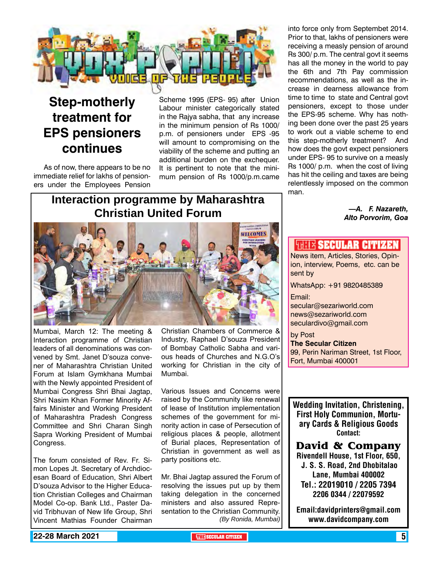

### **Step-motherly treatment for EPS pensioners continues**

As of now, there appears to be no immediate relief for lakhs of pensioners under the Employees Pension

Scheme 1995 (EPS- 95) after Union Labour minister categorically stated in the Rajya sabha, that any increase in the minimum pension of Rs 1000/ p.m. of pensioners under EPS -95 will amount to compromising on the viability of the scheme and putting an additional burden on the exchequer. It is pertinent to note that the minimum pension of Rs 1000/p.m.came

### **Interaction programme by Maharashtra Christian United Forum**



Mumbai, March 12: The meeting & Interaction programme of Christian leaders of all denominations was convened by Smt. Janet D'souza convener of Maharashtra Christian United Forum at Islam Gymkhana Mumbai with the Newly appointed President of Mumbai Congress Shri Bhai Jagtap, Shri Nasim Khan Former Minority Affairs Minister and Working President of Maharashtra Pradesh Congress Committee and Shri Charan Singh Sapra Working President of Mumbai Congress.

The forum consisted of Rev. Fr. Simon Lopes Jt. Secretary of Archdiocesan Board of Education, Shri Albert D'souza Advisor to the Higher Education Christian Colleges and Chairman Model Co-op. Bank Ltd., Paster David Tribhuvan of New life Group, Shri Vincent Mathias Founder Chairman

Christian Chambers of Commerce & Industry, Raphael D'souza President of Bombay Catholic Sabha and various heads of Churches and N.G.O's working for Christian in the city of Mumbai.

Various Issues and Concerns were raised by the Community like renewal of lease of Institution implementation schemes of the government for minority action in case of Persecution of religious places & people, allotment of Burial places, Representation of Christian in government as well as party positions etc.

Mr. Bhai Jagtap assured the Forum of resolving the issues put up by them taking delegation in the concerned ministers and also assured Representation to the Christian Community. *(By Ronida, Mumbai)*

into force only from Septembet 2014. Prior to that, lakhs of pensioners were receiving a measly pension of around Rs 300/ p.m. The central govt it seems has all the money in the world to pay the 6th and 7th Pay commission recommendations, as well as the increase in dearness allowance from time to time to state and Central govt pensioners, except to those under the EPS-95 scheme. Why has nothing been done over the past 25 years to work out a viable scheme to end this step-motherly treatment? And how does the govt expect pensioners under EPS- 95 to survive on a measly Rs 1000/ p.m. when the cost of living has hit the ceiling and taxes are being relentlessly imposed on the common man.

> *—A. F. Nazareth, Alto Porvorim, Goa*

### *<b>THIT'S SECULAR CITIZER*

News item, Articles, Stories, Opinion, interview, Poems, etc. can be sent by

WhatsApp: +91 9820485389

Email:

secular@sezariworld.com news@sezariworld.com seculardivo@gmail.com

by Post **The Secular Citizen** 99, Perin Nariman Street, 1st Floor, Fort, Mumbai 400001

Wedding Invitation, Christening, First Holy Communion, Mortuary Cards & Religious Goods Contact:

**David & Company** Rivendell House, 1st Floor, 650, J. S. S. Road, 2nd Dhobitalao Lane, Mumbai 400002 Tel.: 22019010 / 2205 7394 2206 0344 / 22079592

Email:davidprinters@gmail.com www.davidcompany.com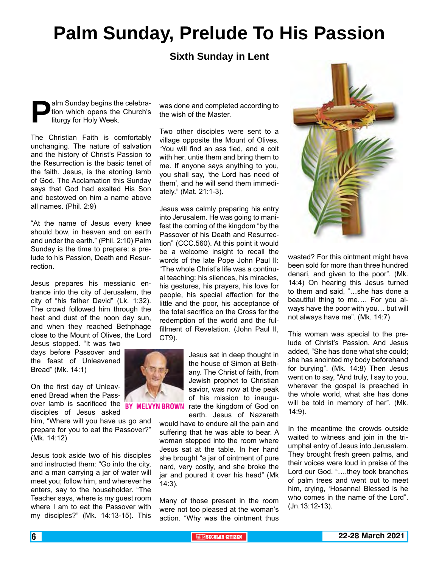## **Palm Sunday, Prelude To His Passion**

### **Sixth Sunday in Lent**

**Palm Sunday begins the celebration which opens the Church's liturgy for Holy Week.** tion which opens the Church's liturgy for Holy Week.

The Christian Faith is comfortably unchanging. The nature of salvation and the history of Christ's Passion to the Resurrection is the basic tenet of the faith. Jesus, is the atoning lamb of God. The Acclamation this Sunday says that God had exalted His Son and bestowed on him a name above all names. (Phil. 2:9)

"At the name of Jesus every knee should bow, in heaven and on earth and under the earth." (Phil. 2:10) Palm Sunday is the time to prepare: a prelude to his Passion, Death and Resurrection.

Jesus prepares his messianic entrance into the city of Jerusalem, the city of "his father David" (Lk. 1:32). The crowd followed him through the heat and dust of the noon day sun, and when they reached Bethphage close to the Mount of Olives, the Lord

Jesus stopped. "It was two days before Passover and the feast of Unleavened Bread" (Mk. 14:1)

On the first day of Unleavened Bread when the Passover lamb is sacrificed the BY MELVYN BROWN rate the kingdom of God on disciples of Jesus asked

him, "Where will you have us go and prepare for you to eat the Passover?" (Mk. 14:12)

Jesus took aside two of his disciples and instructed them: "Go into the city, and a man carrying a jar of water will meet you; follow him, and wherever he enters, say to the householder. "The Teacher says, where is my guest room where I am to eat the Passover with my disciples?" (Mk. 14:13-15). This

was done and completed according to the wish of the Master.

Two other disciples were sent to a village opposite the Mount of Olives. "You will find an ass tied, and a colt with her, untie them and bring them to me. If anyone says anything to you, you shall say, 'the Lord has need of them', and he will send them immediately." (Mat. 21:1-3).

Jesus was calmly preparing his entry into Jerusalem. He was going to manifest the coming of the kingdom "by the Passover of his Death and Resurrection" (CCC.560). At this point it would be a welcome insight to recall the words of the late Pope John Paul II: "The whole Christ's life was a continual teaching: his silences, his miracles, his gestures, his prayers, his love for people, his special affection for the little and the poor, his acceptance of the total sacrifice on the Cross for the redemption of the world and the fulfillment of Revelation. (John Paul II, CT9).



Jesus sat in deep thought in the house of Simon at Bethany. The Christ of faith, from Jewish prophet to Christian savior, was now at the peak of his mission to inauguearth. Jesus of Nazareth

would have to endure all the pain and suffering that he was able to bear. A woman stepped into the room where Jesus sat at the table. In her hand she brought "a jar of ointment of pure nard, very costly, and she broke the jar and poured it over his head" (Mk 14:3).

Many of those present in the room were not too pleased at the woman's action. "Why was the ointment thus



wasted? For this ointment might have been sold for more than three hundred denari, and given to the poor". (Mk. 14:4) On hearing this Jesus turned to them and said, "…she has done a beautiful thing to me…. For you always have the poor with you… but will not always have me". (Mk. 14:7)

This woman was special to the prelude of Christ's Passion. And Jesus added, "She has done what she could; she has anointed my body beforehand for burying". (Mk. 14:8) Then Jesus went on to say, "And truly, I say to you, wherever the gospel is preached in the whole world, what she has done will be told in memory of her". (Mk. 14:9).

In the meantime the crowds outside waited to witness and join in the triumphal entry of Jesus into Jerusalem. They brought fresh green palms, and their voices were loud in praise of the Lord our God. "….they took branches of palm trees and went out to meet him, crying, 'Hosanna! Blessed is he who comes in the name of the Lord". (Jn.13:12-13).

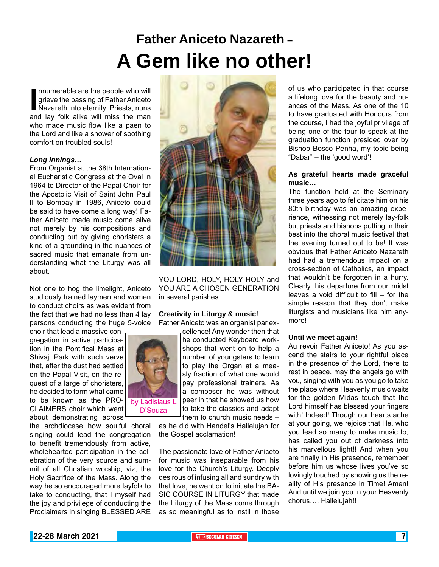## **Father Aniceto Nazareth – A Gem like no other!**

Innumerable are the people who will<br>grieve the passing of Father Aniceto<br>Nazareth into eternity. Priests, nuns<br>and lay folk alike will miss the man nnumerable are the people who will grieve the passing of Father Aniceto Nazareth into eternity. Priests, nuns who made music flow like a paen to the Lord and like a shower of soothing comfort on troubled souls!

#### *Long innings…*

From Organist at the 38th International Eucharistic Congress at the Oval in 1964 to Director of the Papal Choir for the Apostolic Visit of Saint John Paul II to Bombay in 1986, Aniceto could be said to have come a long way! Father Aniceto made music come alive not merely by his compositions and conducting but by giving choristers a kind of a grounding in the nuances of sacred music that emanate from understanding what the Liturgy was all about.

Not one to hog the limelight, Aniceto studiously trained laymen and women to conduct choirs as was evident from the fact that we had no less than 4 lay persons conducting the huge 5-voice

choir that lead a massive congregation in active participation in the Pontifical Mass at Shivaji Park with such verve that, after the dust had settled on the Papal Visit, on the request of a large of choristers. he decided to form what came to be known as the PRO-CLAIMERS choir which went about demonstrating across

the archdiocese how soulful choral singing could lead the congregation to benefit tremendously from active, wholehearted participation in the celebration of the very source and summit of all Christian worship, viz, the Holy Sacrifice of the Mass. Along the way he so encouraged more layfolk to take to conducting, that I myself had the joy and privilege of conducting the Proclaimers in singing BLESSED ARE



YOU LORD, HOLY, HOLY HOLY and YOU ARE A CHOSEN GENERATION in several parishes.

### **Creativity in Liturgy & music!**

Father Aniceto was an organist par ex-

by Ladislaus L D'Souza

cellence! Any wonder then that he conducted Keyboard work-

shops that went on to help a number of youngsters to learn to play the Organ at a measly fraction of what one would pay professional trainers. As a composer he was without peer in that he showed us how to take the classics and adapt them to church music needs –

as he did with Handel's Hallelujah for the Gospel acclamation!

The passionate love of Father Aniceto for music was inseparable from his love for the Church's Liturgy. Deeply desirous of infusing all and sundry with that love, he went on to initiate the BA-SIC COURSE IN LITURGY that made the Liturgy of the Mass come through as so meaningful as to instil in those of us who participated in that course a lifelong love for the beauty and nuances of the Mass. As one of the 10 to have graduated with Honours from the course, I had the joyful privilege of being one of the four to speak at the graduation function presided over by Bishop Bosco Penha, my topic being "Dabar" – the 'good word'!

### **As grateful hearts made graceful music…**

The function held at the Seminary three years ago to felicitate him on his 80th birthday was an amazing experience, witnessing not merely lay-folk but priests and bishops putting in their best into the choral music festival that the evening turned out to be! It was obvious that Father Aniceto Nazareth had had a tremendous impact on a cross-section of Catholics, an impact that wouldn't be forgotten in a hurry. Clearly, his departure from our midst leaves a void difficult to fill – for the simple reason that they don't make liturgists and musicians like him anymore!

#### **Until we meet again!**

Au revoir Father Aniceto! As you ascend the stairs to your rightful place in the presence of the Lord, there to rest in peace, may the angels go with you, singing with you as you go to take the place where Heavenly music waits for the golden Midas touch that the Lord himself has blessed your fingers with! Indeed! Though our hearts ache at your going, we rejoice that He, who you lead so many to make music to, has called you out of darkness into his marvellous light!! And when you are finally in His presence, remember before him us whose lives you've so lovingly touched by showing us the reality of His presence in Time! Amen! And until we join you in your Heavenly chorus…. Hallelujah!!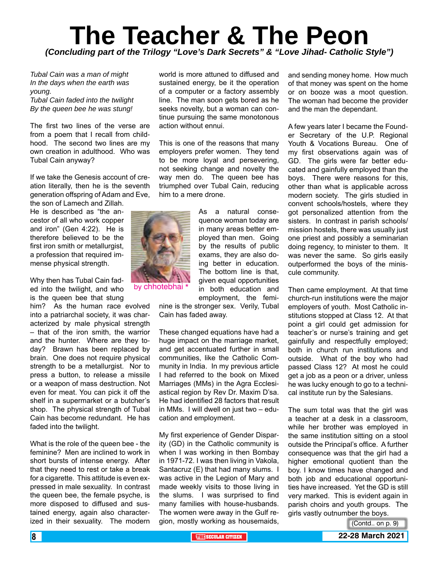### **The Teacher & The Peon** *(Concluding part of the Trilogy "Love's Dark Secrets" & "Love Jihad- Catholic Style")*

*Tubal Cain was a man of might In the days when the earth was young. Tubal Cain faded into the twilight By the queen bee he was stung!*

The first two lines of the verse are from a poem that I recall from childhood. The second two lines are my own creation in adulthood. Who was Tubal Cain anyway?

If we take the Genesis account of creation literally, then he is the seventh generation offspring of Adam and Eve, the son of Lamech and Zillah.

He is described as "the ancestor of all who work copper and iron" (Gen 4:22). He is therefore believed to be the first iron smith or metallurgist. a profession that required immense physical strength.

Why then has Tubal Cain faded into the twilight, and who is the queen bee that stung

him? As the human race evolved into a patriarchal society, it was characterized by male physical strength – that of the iron smith, the warrior and the hunter. Where are they today? Brawn has been replaced by brain. One does not require physical strength to be a metallurgist. Nor to press a button, to release a missile or a weapon of mass destruction. Not even for meat. You can pick it off the shelf in a supermarket or a butcher's shop. The physical strength of Tubal Cain has become redundant. He has faded into the twilight.

What is the role of the queen bee - the feminine? Men are inclined to work in short bursts of intense energy. After that they need to rest or take a break for a cigarette. This attitude is even expressed in male sexuality. In contrast the queen bee, the female psyche, is more disposed to diffused and sustained energy, again also characterized in their sexuality. The modern

world is more attuned to diffused and sustained energy, be it the operation of a computer or a factory assembly line. The man soon gets bored as he seeks novelty, but a woman can continue pursuing the same monotonous action without ennui.

This is one of the reasons that many employers prefer women. They tend to be more loyal and persevering, not seeking change and novelty the way men do. The queen bee has triumphed over Tubal Cain, reducing him to a mere drone.



by chhotebhai \*

As a natural consequence woman today are in many areas better employed than men. Going by the results of public exams, they are also doing better in education. The bottom line is that, given equal opportunities in both education and employment, the femi-

nine is the stronger sex. Verily, Tubal Cain has faded away.

These changed equations have had a huge impact on the marriage market, and get accentuated further in small communities, like the Catholic Community in India. In my previous article I had referred to the book on Mixed Marriages (MMs) in the Agra Ecclesiastical region by Rev Dr. Maxim D'sa. He had identified 28 factors that result in MMs. I will dwell on just two – education and employment.

My first experience of Gender Disparity (GD) in the Catholic community is when I was working in then Bombay in 1971-72. I was then living in Vakola, Santacruz (E) that had many slums. I was active in the Legion of Mary and made weekly visits to those living in the slums. I was surprised to find many families with house-husbands. The women were away in the Gulf region, mostly working as housemaids, and sending money home. How much of that money was spent on the home or on booze was a moot question. The woman had become the provider and the man the dependant.

A few years later I became the Founder Secretary of the U.P. Regional Youth & Vocations Bureau. One of my first observations again was of GD. The girls were far better educated and gainfully employed than the boys. There were reasons for this, other than what is applicable across modern society. The girls studied in convent schools/hostels, where they got personalized attention from the sisters. In contrast in parish schools/ mission hostels, there was usually just one priest and possibly a seminarian doing regency, to minister to them. It was never the same. So girls easily outperformed the boys of the miniscule community.

Then came employment. At that time church-run institutions were the major employers of youth. Most Catholic institutions stopped at Class 12. At that point a girl could get admission for teacher's or nurse's training and get gainfully and respectfully employed; both in church run institutions and outside. What of the boy who had passed Class 12? At most he could get a job as a peon or a driver, unless he was lucky enough to go to a technical institute run by the Salesians.

The sum total was that the girl was a teacher at a desk in a classroom, while her brother was employed in the same institution sitting on a stool outside the Principal's office. A further consequence was that the girl had a higher emotional quotient than the boy. I know times have changed and both job and educational opportunities have increased. Yet the GD is still very marked. This is evident again in parish choirs and youth groups. The girls vastly outnumber the boys.

(Contd.. on p. 9)

**8 <b>THE** SECULAR CITIZEN **1 THE** SECULAR CITIZEN **1 22-28 March 2021**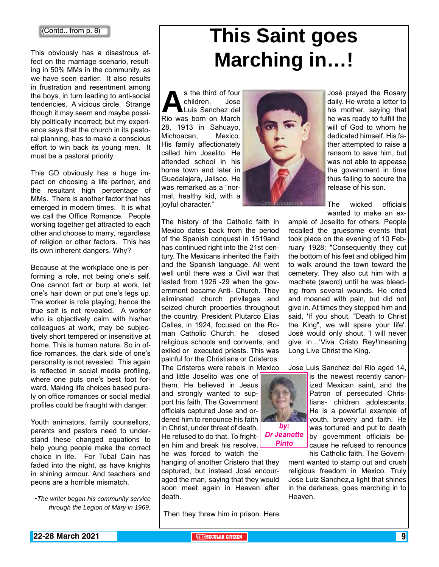### (Contd.. from p. 8)

This obviously has a disastrous effect on the marriage scenario, resulting in 50% MMs in the community, as we have seen earlier. It also results in frustration and resentment among the boys, in turn leading to anti-social tendencies. A vicious circle. Strange though it may seem and maybe possibly politically incorrect; but my experience says that the church in its pastoral planning, has to make a conscious effort to win back its young men. It must be a pastoral priority.

This GD obviously has a huge impact on choosing a life partner, and the resultant high percentage of MMs. There is another factor that has emerged in modern times. It is what we call the Office Romance. People working together get attracted to each other and choose to marry, regardless of religion or other factors. This has its own inherent dangers. Why?

Because at the workplace one is performing a role, not being one's self. One cannot fart or burp at work, let one's hair down or put one's legs up. The worker is role playing; hence the true self is not revealed. A worker who is objectively calm with his/her colleagues at work, may be subjectively short tempered or insensitive at home. This is human nature. So in office romances, the dark side of one's personality is not revealed. This again is reflected in social media profiling, where one puts one's best foot forward. Making life choices based purely on office romances or social medial profiles could be fraught with danger.

Youth animators, family counsellors, parents and pastors need to understand these changed equations to help young people make the correct choice in life. For Tubal Cain has faded into the night, as have knights in shining armour. And teachers and peons are a horrible mismatch.

*•The writer began his community service through the Legion of Mary in 1969.*

# **This Saint goes Marching in…!**

s the third of four<br>
children, Jose<br>
Rio was born on March children, Jose Luis Sanchez del 28, 1913 in Sahuayo, Michoacan, Mexico. His family affectionately called him Joselito. He attended school in his home town and later in Guadalajara, Jalisco. He was remarked as a "normal, healthy kid, with a joyful character."



The Cristeros were rebels in Mexico

and little Joselito was one of them. He believed in Jesus and strongly wanted to support his faith. The Government officials captured Jose and ordered him to renounce his faith in Christ, under threat of death. He refused to do that. To frighten him and break his resolve, he was forced to watch the

hanging of another Cristero that they captured, but instead José encouraged the man, saying that they would soon meet again in Heaven after death.

Then they threw him in prison. Here



José prayed the Rosary daily. He wrote a letter to his mother, saying that he was ready to fulfill the will of God to whom he dedicated himself. His father attempted to raise a ransom to save him, but was not able to appease the government in time thus failing to secure the release of his son.

The wicked officials wanted to make an ex-

ample of Joselito for others. People recalled the gruesome events that took place on the evening of 10 February 1928: "Consequently they cut the bottom of his feet and obliged him to walk around the town toward the cemetery. They also cut him with a machete (sword) until he was bleeding from several wounds. He cried and moaned with pain, but did not give in. At times they stopped him and said, 'If you shout, "Death to Christ the King", we will spare your life'. José would only shout, 'I will never give in…'Viva Cristo Rey!'meaning Long Live Christ the King.

*by:* 

*Dr Jeanette Pinto*

Jose Luis Sanchez del Rio aged 14,

is the newest recently canonized Mexican saint, and the Patron of persecuted Christians- children adolescents. He is a powerful example of youth, bravery and faith. He was tortured and put to death by government officials because he refused to renounce his Catholic faith. The Govern-

ment wanted to stamp out and crush religious freedom in Mexico. Truly Jose Luiz Sanchez,a light that shines in the darkness, goes marching in to Heaven.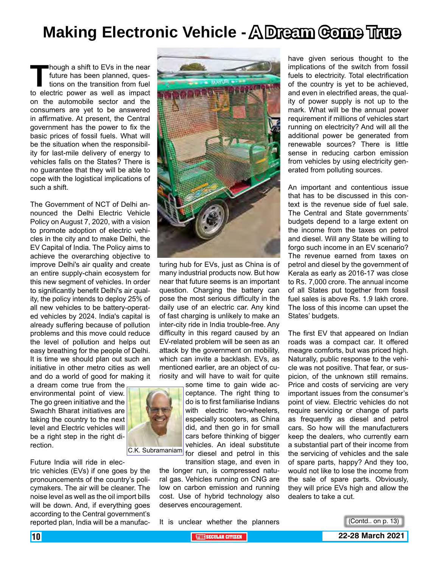## **Making Electronic Vehicle - A Dream Come True**

**Though a shift to EVs in the near<br>future has been planned, ques-<br>tions on the transition from fuel<br>to electric power as well as impact** future has been planned, questions on the transition from fuel to electric power as well as impact on the automobile sector and the consumers are yet to be answered in affirmative. At present, the Central government has the power to fix the basic prices of fossil fuels. What will be the situation when the responsibility for last-mile delivery of energy to vehicles falls on the States? There is no guarantee that they will be able to cope with the logistical implications of such a shift.

The Government of NCT of Delhi announced the Delhi Electric Vehicle Policy on August 7, 2020, with a vision to promote adoption of electric vehicles in the city and to make Delhi, the EV Capital of India. The Policy aims to achieve the overarching objective to improve Delhi's air quality and create an entire supply-chain ecosystem for this new segment of vehicles. In order to significantly benefit Delhi's air quality, the policy intends to deploy 25% of all new vehicles to be battery-operated vehicles by 2024. India's capital is already suffering because of pollution problems and this move could reduce the level of pollution and helps out easy breathing for the people of Delhi. It is time we should plan out such an initiative in other metro cities as well and do a world of good for making it

a dream come true from the environmental point of view. The go green initiative and the Swachh Bharat initiatives are taking the country to the next level and Electric vehicles will be a right step in the right direction.



Future India will ride in elec-

tric vehicles (EVs) if one goes by the pronouncements of the country's policymakers. The air will be cleaner. The noise level as well as the oil import bills will be down. And, if everything goes according to the Central government's reported plan, India will be a manufac-



turing hub for EVs, just as China is of many industrial products now. But how near that future seems is an important question. Charging the battery can pose the most serious difficulty in the daily use of an electric car. Any kind of fast charging is unlikely to make an inter-city ride in India trouble-free. Any difficulty in this regard caused by an EV-related problem will be seen as an attack by the government on mobility, which can invite a backlash. EVs, as mentioned earlier, are an object of curiosity and will have to wait for quite

some time to gain wide acceptance. The right thing to do is to first familiarise Indians with electric two-wheelers, especially scooters, as China did, and then go in for small cars before thinking of bigger vehicles. An ideal substitute C.K. Subramaniam for diesel and petrol in this

transition stage, and even in the longer run, is compressed natural gas. Vehicles running on CNG are low on carbon emission and running cost. Use of hybrid technology also deserves encouragement.

It is unclear whether the planners

have given serious thought to the implications of the switch from fossil fuels to electricity. Total electrification of the country is yet to be achieved, and even in electrified areas, the quality of power supply is not up to the mark. What will be the annual power requirement if millions of vehicles start running on electricity? And will all the additional power be generated from renewable sources? There is little sense in reducing carbon emission from vehicles by using electricity generated from polluting sources.

An important and contentious issue that has to be discussed in this context is the revenue side of fuel sale. The Central and State governments' budgets depend to a large extent on the income from the taxes on petrol and diesel. Will any State be willing to forgo such income in an EV scenario? The revenue earned from taxes on petrol and diesel by the government of Kerala as early as 2016-17 was close to Rs. 7,000 crore. The annual income of all States put together from fossil fuel sales is above Rs. 1.9 lakh crore. The loss of this income can upset the States' budgets.

The first EV that appeared on Indian roads was a compact car. It offered meagre comforts, but was priced high. Naturally, public response to the vehicle was not positive. That fear, or suspicion, of the unknown still remains. Price and costs of servicing are very important issues from the consumer's point of view. Electric vehicles do not require servicing or change of parts as frequently as diesel and petrol cars. So how will the manufacturers keep the dealers, who currently earn a substantial part of their income from the servicing of vehicles and the sale of spare parts, happy? And they too, would not like to lose the income from the sale of spare parts. Obviously, they will price EVs high and allow the dealers to take a cut.

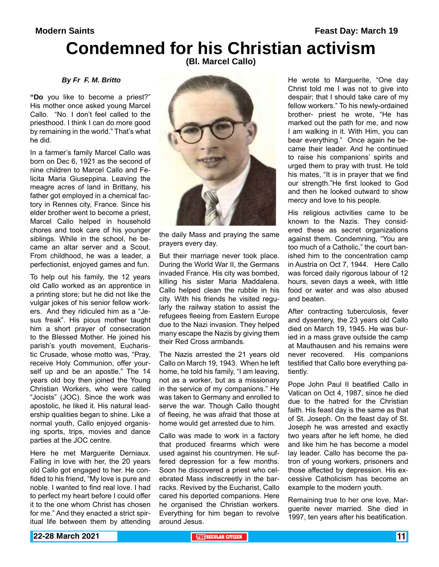**Modern Saints Modern Saints Feast Day: March 19** 

# **Condemned for his Christian activism**

**(Bl. Marcel Callo)** 

### *By Fr F. M. Britto*

**"Do** you like to become a priest?" His mother once asked young Marcel Callo. "No. I don't feel called to the priesthood. I think I can do more good by remaining in the world." That's what he did.

In a farmer's family Marcel Callo was born on Dec 6, 1921 as the second of nine children to Marcel Callo and Felicita Maria Giuseppina. Leaving the meagre acres of land in Brittany, his father got employed in a chemical factory in Rennes city, France. Since his elder brother went to become a priest, Marcel Callo helped in household chores and took care of his younger siblings. While in the school, he became an altar server and a Scout. From childhood, he was a leader, a perfectionist, enjoyed games and fun.

To help out his family, the 12 years old Callo worked as an apprentice in a printing store; but he did not like the vulgar jokes of his senior fellow workers. And they ridiculed him as a "Jesus freak". His pious mother taught him a short prayer of consecration to the Blessed Mother. He joined his parish's youth movement, Eucharistic Crusade, whose motto was, "Pray, receive Holy Communion, offer yourself up and be an apostle." The 14 years old boy then joined the Young Christian Workers, who were called "Jocists" (JOC). Since the work was apostolic, he liked it. His natural leadership qualities began to shine. Like a normal youth, Callo enjoyed organising sports, trips, movies and dance parties at the JOC centre.

Here he met Marguerite Derniaux. Falling in love with her, the 20 years old Callo got engaged to her. He confided to his friend, "My love is pure and noble. I wanted to find real love. I had to perfect my heart before I could offer it to the one whom Christ has chosen for me." And they enacted a strict spiritual life between them by attending



the daily Mass and praying the same prayers every day.

But their marriage never took place. During the World War II, the Germans invaded France. His city was bombed, killing his sister Maria Maddalena. Callo helped clean the rubble in his city. With his friends he visited regularly the railway station to assist the refugees fleeing from Eastern Europe due to the Nazi invasion. They helped many escape the Nazis by giving them their Red Cross armbands.

The Nazis arrested the 21 years old Callo on March 19, 1943. When he left home, he told his family, "I am leaving, not as a worker, but as a missionary in the service of my companions." He was taken to Germany and enrolled to serve the war. Though Callo thought of fleeing, he was afraid that those at home would get arrested due to him.

Callo was made to work in a factory that produced firearms which were used against his countrymen. He suffered depression for a few months. Soon he discovered a priest who celebrated Mass indiscreetly in the barracks. Revived by the Eucharist, Callo cared his deported companions. Here he organised the Christian workers. Everything for him began to revolve around Jesus.

He wrote to Marguerite, "One day Christ told me I was not to give into despair; that I should take care of my fellow workers." To his newly-ordained brother- priest he wrote, "He has marked out the path for me, and now I am walking in it. With Him, you can bear everything." Once again he became their leader. And he continued to raise his companions' spirits and urged them to pray with trust. He told his mates, "It is in prayer that we find our strength."He first looked to God and then he looked outward to show mercy and love to his people.

His religious activities came to be known to the Nazis. They considered these as secret organizations against them. Condemning, "You are too much of a Catholic," the court banished him to the concentration camp in Austria on Oct 7, 1944. Here Callo was forced daily rigorous labour of 12 hours, seven days a week, with little food or water and was also abused and beaten.

After contracting tuberculosis, fever and dysentery, the 23 years old Callo died on March 19, 1945. He was buried in a mass grave outside the camp at Mauthausen and his remains were never recovered. His companions testified that Callo bore everything patiently.

Pope John Paul II beatified Callo in Vatican on Oct 4, 1987, since he died due to the hatred for the Christian faith. His feast day is the same as that of St. Joseph. On the feast day of St. Joseph he was arrested and exactly two years after he left home, he died and like him he has become a model lay leader. Callo has become the patron of young workers, prisoners and those affected by depression. His excessive Catholicism has become an example to the modern youth.

Remaining true to her one love, Marguerite never married. She died in 1997, ten years after his beatification.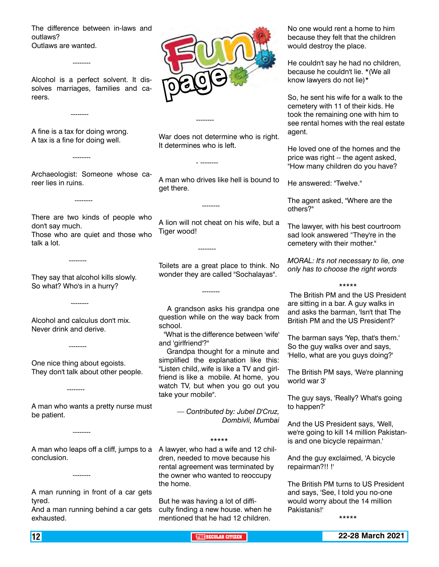The difference between in-laws and outlaws? Outlaws are wanted.

Alcohol is a perfect solvent. It dissolves marriages, families and careers.

A fine is a tax for doing wrong. A tax is a fine for doing well.

--------

--------

--------

--------

--------

--------

--------

--------

Archaeologist: Someone whose career lies in ruins.

There are two kinds of people who don't say much. Those who are quiet and those who talk a lot.

They say that alcohol kills slowly. So what? Who's in a hurry?

Alcohol and calculus don't mix. Never drink and derive.

One nice thing about egoists. They don't talk about other people.

A man who wants a pretty nurse must be patient.

--------

--------

A man who leaps off a cliff, jumps to a A lawyer, who had a wife and 12 chilconclusion.

A man running in front of a car gets tyred.

And a man running behind a car gets exhausted.



War does not determine who is right. It determines who is left.

--------

- --------

--------

--------

--------

A man who drives like hell is bound to get there.

A lion will not cheat on his wife, but a Tiger wood!

Toilets are a great place to think. No wonder they are called "Sochalayas".

 A grandson asks his grandpa one question while on the way back from school.

 "What is the difference between 'wife' and 'girlfriend'?"

 Grandpa thought for a minute and simplified the explanation like this: "Listen child,.wife is like a TV and girlfriend is like a mobile. At home, you watch TV, but when you go out you take your mobile".

> *— Contributed by: Jubel D'Cruz, Dombivli, Mumbai*

> > \*\*\*\*\*

dren, needed to move because his rental agreement was terminated by the owner who wanted to reoccupy the home.

But he was having a lot of difficulty finding a new house. when he mentioned that he had 12 children.

No one would rent a home to him because they felt that the children would destroy the place.

He couldn't say he had no children, because he couldn't lie. \*(We all know lawyers do not lie)\*

So, he sent his wife for a walk to the cemetery with 11 of their kids. He took the remaining one with him to see rental homes with the real estate agent.

He loved one of the homes and the price was right -- the agent asked, "How many children do you have?

He answered: "Twelve."

The agent asked, "Where are the others?"

The lawyer, with his best courtroom sad look answered "They're in the cemetery with their mother."

*MORAL: It's not necessary to lie, one only has to choose the right words*

\*\*\*\*\*

 The British PM and the US President are sitting in a bar. A guy walks in and asks the barman, 'Isn't that The British PM and the US President?'

The barman says 'Yep, that's them.' So the guy walks over and says, 'Hello, what are you guys doing?'

The British PM says, 'We're planning world war 3'

The guy says, 'Really? What's going to happen?'

And the US President says, 'Well, we're going to kill 14 million Pakistanis and one bicycle repairman.'

And the guy exclaimed, 'A bicycle repairman?!! !'

The British PM turns to US President and says, 'See, I told you no-one would worry about the 14 million Pakistanis!'

\*\*\*\*\*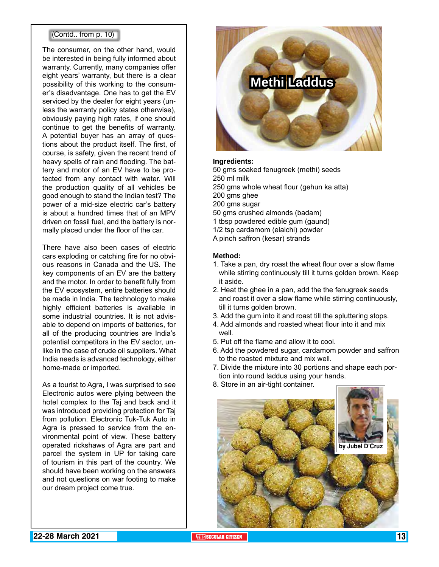### (Contd.. from p. 10)

The consumer, on the other hand, would be interested in being fully informed about warranty. Currently, many companies offer eight years' warranty, but there is a clear possibility of this working to the consumer's disadvantage. One has to get the EV serviced by the dealer for eight years (unless the warranty policy states otherwise), obviously paying high rates, if one should continue to get the benefits of warranty. A potential buyer has an array of questions about the product itself. The first, of course, is safety, given the recent trend of heavy spells of rain and flooding. The battery and motor of an EV have to be protected from any contact with water. Will the production quality of all vehicles be good enough to stand the Indian test? The power of a mid-size electric car's battery is about a hundred times that of an MPV driven on fossil fuel, and the battery is normally placed under the floor of the car.

There have also been cases of electric cars exploding or catching fire for no obvious reasons in Canada and the US. The key components of an EV are the battery and the motor. In order to benefit fully from the EV ecosystem, entire batteries should be made in India. The technology to make highly efficient batteries is available in some industrial countries. It is not advisable to depend on imports of batteries, for all of the producing countries are India's potential competitors in the EV sector, unlike in the case of crude oil suppliers. What India needs is advanced technology, either home-made or imported.

As a tourist to Agra, I was surprised to see Electronic autos were plying between the hotel complex to the Taj and back and it was introduced providing protection for Taj from pollution. Electronic Tuk-Tuk Auto in Agra is pressed to service from the environmental point of view. These battery operated rickshaws of Agra are part and parcel the system in UP for taking care of tourism in this part of the country. We should have been working on the answers and not questions on war footing to make our dream project come true.



### **Ingredients:**

50 gms soaked fenugreek (methi) seeds 250 ml milk

250 gms whole wheat flour (gehun ka atta)

200 gms ghee

200 gms sugar

50 gms crushed almonds (badam)

1 tbsp powdered edible gum (gaund) 1/2 tsp cardamom (elaichi) powder

A pinch saffron (kesar) strands

#### **Method:**

- 1. Take a pan, dry roast the wheat flour over a slow flame while stirring continuously till it turns golden brown. Keep it aside.
- 2. Heat the ghee in a pan, add the the fenugreek seeds and roast it over a slow flame while stirring continuously, till it turns golden brown.
- 3. Add the gum into it and roast till the spluttering stops.
- 4. Add almonds and roasted wheat flour into it and mix well.
- 5. Put off the flame and allow it to cool.
- 6. Add the powdered sugar, cardamom powder and saffron to the roasted mixture and mix well.
- 7. Divide the mixture into 30 portions and shape each portion into round laddus using your hands.
- 8. Store in an air-tight container.

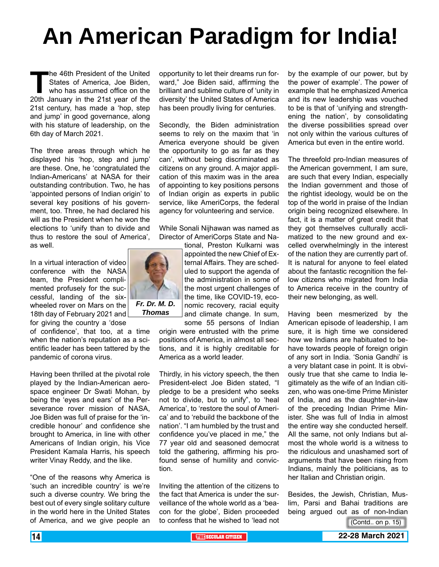# **An American Paradigm for India!**

**The 46th President of the United<br>States of America, Joe Biden,<br>who has assumed office on the<br>20th January in the 21st year of the** States of America, Joe Biden, who has assumed office on the 20th January in the 21st year of the 21st century, has made a 'hop, step and jump' in good governance, along with his stature of leadership, on the 6th day of March 2021.

The three areas through which he displayed his 'hop, step and jump' are these. One, he 'congratulated the Indian-Americans' at NASA for their outstanding contribution. Two, he has 'appointed persons of Indian origin' to several key positions of his government, too. Three, he had declared his will as the President when he won the elections to 'unify than to divide and thus to restore the soul of America', as well.

In a virtual interaction of video conference with the NASA team, the President complimented profusely for the successful, landing of the sixwheeled rover on Mars on the 18th day of February 2021 and for giving the country a 'dose

of confidence', that too, at a time when the nation's reputation as a scientific leader has been tattered by the pandemic of corona virus.

Having been thrilled at the pivotal role played by the Indian-American aerospace engineer Dr Swati Mohan, by being the 'eyes and ears' of the Perseverance rover mission of NASA, Joe Biden was full of praise for the 'incredible honour' and confidence she brought to America, in line with other Americans of Indian origin, his Vice President Kamala Harris, his speech writer Vinay Reddy, and the like.

"One of the reasons why America is 'such an incredible country' is we're such a diverse country. We bring the best out of every single solitary culture in the world here in the United States of America, and we give people an

opportunity to let their dreams run forward," Joe Biden said, affirming the brilliant and sublime culture of 'unity in diversity' the United States of America has been proudly living for centuries.

Secondly, the Biden administration seems to rely on the maxim that 'in America everyone should be given the opportunity to go as far as they can', without being discriminated as citizens on any ground. A major application of this maxim was in the area of appointing to key positions persons of Indian origin as experts in public service, like AmeriCorps, the federal agency for volunteering and service.

While Sonali Nijhawan was named as Director of AmeriCorps State and Na-

tional, Preston Kulkarni was appointed the new Chief of External Affairs. They are scheduled to support the agenda of the administration in some of the most urgent challenges of the time, like COVID-19, economic recovery, racial equity and climate change. In sum,

some 55 persons of Indian origin were entrusted with the prime positions of America, in almost all sections, and it is highly creditable for America as a world leader.

Thirdly, in his victory speech, the then President-elect Joe Biden stated, "I pledge to be a president who seeks not to divide, but to unify", to 'heal America', to 'restore the soul of America' and to 'rebuild the backbone of the nation'. "I am humbled by the trust and confidence you've placed in me," the 77 year old and seasoned democrat told the gathering, affirming his profound sense of humility and conviction.

Inviting the attention of the citizens to the fact that America is under the surveillance of the whole world as a 'beacon for the globe', Biden proceeded to confess that he wished to 'lead not

by the example of our power, but by the power of example'. The power of example that he emphasized America and its new leadership was vouched to be is that of 'unifying and strengthening the nation', by consolidating the diverse possibilities spread over not only within the various cultures of America but even in the entire world.

The threefold pro-Indian measures of the American government, I am sure, are such that every Indian, especially the Indian government and those of the rightist ideology, would be on the top of the world in praise of the Indian origin being recognized elsewhere. In fact, it is a matter of great credit that they got themselves culturally acclimatized to the new ground and excelled overwhelmingly in the interest of the nation they are currently part of. It is natural for anyone to feel elated about the fantastic recognition the fellow citizens who migrated from India to America receive in the country of their new belonging, as well.

Having been mesmerized by the American episode of leadership, I am sure, it is high time we considered how we Indians are habituated to behave towards people of foreign origin of any sort in India. 'Sonia Gandhi' is a very blatant case in point. It is obviously true that she came to India legitimately as the wife of an Indian citizen, who was one-time Prime Minister of India, and as the daughter-in-law of the preceding Indian Prime Minister. She was full of India in almost the entire way she conducted herself. All the same, not only Indians but almost the whole world is a witness to the ridiculous and unashamed sort of arguments that have been rising from Indians, mainly the politicians, as to her Italian and Christian origin.

Besides, the Jewish, Christian, Muslim, Parsi and Bahai traditions are being argued out as of non-Indian

(Contd.. on p. 15)

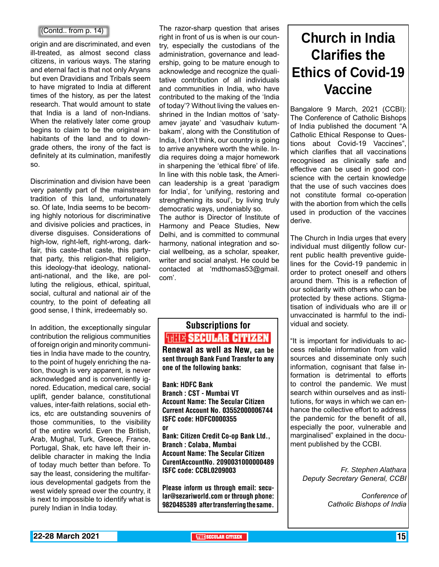### (Contd.. from p. 14)

origin and are discriminated, and even ill-treated, as almost second class citizens, in various ways. The staring and eternal fact is that not only Aryans but even Dravidians and Tribals seem to have migrated to India at different times of the history, as per the latest research. That would amount to state that India is a land of non-Indians. When the relatively later come group begins to claim to be the original inhabitants of the land and to downgrade others, the irony of the fact is definitely at its culmination, manifestly so.

Discrimination and division have been very patently part of the mainstream tradition of this land, unfortunately so. Of late, India seems to be becoming highly notorious for discriminative and divisive policies and practices, in diverse disguises. Considerations of high-low, right-left, right-wrong, darkfair, this caste-that caste, this partythat party, this religion-that religion, this ideology-that ideology, nationalanti-national, and the like, are polluting the religious, ethical, spiritual, social, cultural and national air of the country, to the point of defeating all good sense, I think, irredeemably so.

In addition, the exceptionally singular contribution the religious communities of foreign origin and minority communities in India have made to the country, to the point of hugely enriching the nation, though is very apparent, is never acknowledged and is conveniently ignored. Education, medical care, social uplift, gender balance, constitutional values, inter-faith relations, social ethics, etc are outstanding souvenirs of those communities, to the visibility of the entire world. Even the British, Arab, Mughal, Turk, Greece, France, Portugal, Shak, etc have left their indelible character in making the India of today much better than before. To say the least, considering the multifarious developmental gadgets from the west widely spread over the country, it is next to impossible to identify what is purely Indian in India today.

The razor-sharp question that arises right in front of us is when is our country, especially the custodians of the administration, governance and leadership, going to be mature enough to acknowledge and recognize the qualitative contribution of all individuals and communities in India, who have contributed to the making of the 'India of today'? Without living the values enshrined in the Indian mottos of 'satyamev jayate' and 'vasudhaiv kutumbakam', along with the Constitution of India, I don't think, our country is going to arrive anywhere worth the while. India requires doing a major homework in sharpening the 'ethical fibre' of life. In line with this noble task, the American leadership is a great 'paradigm for India', for 'unifying, restoring and strengthening its soul', by living truly democratic ways, undeniably so. The author is Director of Institute of Harmony and Peace Studies, New

Delhi, and is committed to communal harmony, national integration and social wellbeing, as a scholar, speaker, writer and social analyst. He could be contacted at 'mdthomas53@gmail. com'.

### Subscriptions for **THIT'S SECULAR CITIZEN**<br>Renewal as well as New, can be

sent through Bank Fund Transfer to any one of the following banks:

Bank: HDFC Bank Branch : CST - Mumbai VT Account Name: The Secular Citizen Current Account No. 03552000006744 ISFC code: HDFC0000355 or

Bank: Citizen Credit Co-op Bank Ltd., Branch : Colaba, Mumbai Account Name: The Secular Citizen CurentAccountNo. 2090031000000489 ISFC code: CCBL0209003

Please inform us through email: secular@sezariworld.com or through phone: 9820485389 after transferring the same.

## **Church in India Clarifies the Ethics of Covid-19 Vaccine**

Bangalore 9 March, 2021 (CCBI): The Conference of Catholic Bishops of India published the document "A Catholic Ethical Response to Questions about Covid-19 Vaccines", which clarifies that all vaccinations recognised as clinically safe and effective can be used in good conscience with the certain knowledge that the use of such vaccines does not constitute formal co-operation with the abortion from which the cells used in production of the vaccines derive.

The Church in India urges that every individual must diligently follow current public health preventive guidelines for the Covid-19 pandemic in order to protect oneself and others around them. This is a reflection of our solidarity with others who can be protected by these actions. Stigmatisation of individuals who are ill or unvaccinated is harmful to the individual and society.

"It is important for individuals to access reliable information from valid sources and disseminate only such information, cognisant that false information is detrimental to efforts to control the pandemic. We must search within ourselves and as institutions, for ways in which we can enhance the collective effort to address the pandemic for the benefit of all, especially the poor, vulnerable and marginalised" explained in the document published by the CCBI.

> *Fr. Stephen Alathara Deputy Secretary General, CCBI*

> > *Conference of Catholic Bishops of India*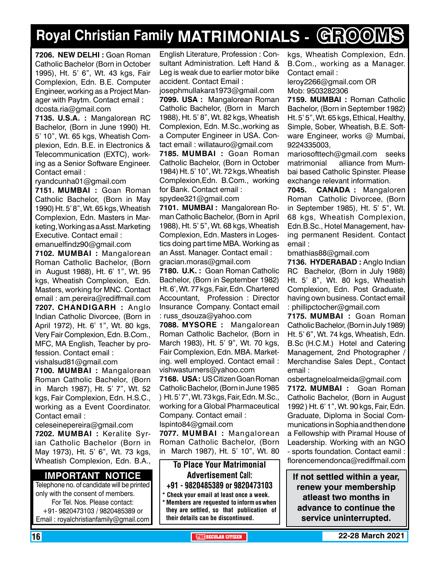# **Royal Christian Family MATRIMONIALS - GROOMS**

**7206. new delhi :** Goan Roman Catholic Bachelor (Born in October 1995), Ht. 5' 6", Wt. 43 kgs, Fair Complexion, Edn. B.E. Computer Engineer, working as a Project Manager with Paytm. Contact email : dcosta.ria@gmail.com

**7135. U.S.A. :** Mangalorean RC Bachelor, (Born in June 1990) Ht. 5' 10", Wt. 65 kgs, Wheatish Complexion, Edn. B.E. in Electronics & Telecommunication (EXTC), working as a Senior Software Engineer. Contact email :

ryandcunha01@gmail.com

**7151. MUMBAI :** Goan Roman Catholic Bachelor, (Born in May 1990) Ht. 5' 8", Wt. 65 kgs, Wheatish Complexion, Edn. Masters in Marketing, Working as a Asst. Marketing Executive. Contact email :

emanuelfindz90@gmail.com **7102. MUMBAI :** Mangalorean

Roman Catholic Bachelor, (Born in August 1988), Ht. 6' 1", Wt. 95 kgs, Wheatish Complexion, Edn. Masters, working for MNC. Contact email : am.pereira@rediffmail.com **7207. Chandigarh :** Anglo Indian Catholic Divorcee, (Born in April 1972), Ht. 6' 1", Wt. 80 kgs, Very Fair Complexion, Edn. B.Com., MFC, MA English, Teacher by profession. Contact email : vishalsud81@gmail.com

**7100. MUMBAI :** Mangalorean Roman Catholic Bachelor, (Born in March 1987), Ht. 5' 7", Wt. 52 kgs, Fair Complexion, Edn. H.S.C., working as a Event Coordinator. Contact email :

celeseinepereira@gmail.com **7202. MUMBAI :** Keralite Syrian Catholic Bachelor (Born in May 1973), Ht. 5' 6", Wt. 73 kgs, Wheatish Complexion, Edn. B.A.,

### **Important Notice**

Telephone no. of candidate will be printed only with the consent of members. For Tel. Nos. Please contact: +91- 9820473103 / 9820485389 or Email : royalchristianfamily@gmail.com English Literature, Profession : Consultant Administration. Left Hand & Leg is weak due to earlier motor bike accident. Contact Email :

josephmullakara1973@gmail.com **7099. USA :** Mangalorean Roman Catholic Bachelor, (Born in March

1988), Ht. 5' 8", Wt. 82 kgs, Wheatish Complexion, Edn. M.Sc.,working as a Computer Engineer in USA. Contact email : willatauro@gmail.com

**7185. MUMBAI :** Goan Roman Catholic Bachelor, (Born in October 1984) Ht. 5' 10", Wt. 72 kgs, Wheatish Complexion,Edn. B.Com., working for Bank. Contact email : spydee321@gmail.com

**7101. MUMBAI :** Mangalorean Roman Catholic Bachelor, (Born in April 1988), Ht. 5' 5", Wt. 68 kgs, Wheatish Complexion, Edn. Masters in Logestics doing part time MBA. Working as an Asst. Manager. Contact email :

gracian.moras@gmail.com

**7180. U.K. :** Goan Roman Catholic Bachelor, (Born in September 1982) Ht. 6', Wt. 77 kgs, Fair, Edn. Chartered Accountant, Profession : Director Insurance Company. Contact email : russ\_dsouza@yahoo.com

**7088. MYSORE :** Mangalorean Roman Catholic Bachelor, (Born in March 1983), Ht. 5' 9", Wt. 70 kgs, Fair Complexion, Edn. MBA. Marketing. well employed. Contact email : vishwasturners@yahoo.com

**7168. USA :** US Citizen Goan Roman Catholic Bachelor, (Born in June 1985 ) Ht. 5' 7", Wt. 73 kgs, Fair, Edn. M.Sc., working for a Global Pharmaceutical Company. Contact email : Ispinto84@gmail.com

**7077. MUMBAI :** Mangalorean Roman Catholic Bachelor, (Born in March 1987), Ht. 5' 10", Wt. 80

To Place Your Matrimonial Advertisement Call: +91 - 9820485389 or 9820473103

Check your email at least once a week. \* Members are requested to inform us when they are settled, so that publication of their details can be discontinued.

kgs, Wheatish Complexion, Edn. B.Com., working as a Manager. Contact email : leroy2266@gmail.com OR

Mob: 9503282306

**7159. MUMBAI :** Roman Catholic Bachelor, (Born in September 1982) Ht. 5' 5", Wt. 65 kgs, Ethical, Healthy, Simple, Sober, Wheatish, B.E. Software Engineer, works @ Mumbai, 9224335003,

mariosofttech@gmail.com seeks matrimonial alliance from Mumbai based Catholic Spinster. Please exchange relevant information.

**7045. CANADA :** Mangaloren Roman Catholic Divorcee, (Born in September 1985), Ht. 5' 5", Wt. 68 kgs, Wheatish Complexion, Edn.B.Sc., Hotel Management, having permanent Resident. Contact email :

bmathias88@gmail.com

**7136. HYDERABAD :** Anglo Indian RC Bachelor, (Born in July 1988) Ht. 5' 8", Wt. 80 kgs, Wheatish Complexion, Edn. Post Graduate, having own business. Contact email : phillipctocher@gmail.com

**7175. MUMBAI :** Goan Roman Catholic Bachelor, (Born in July 1989) Ht. 5' 6", Wt. 74 kgs, Wheatish, Edn. B.Sc (H.C.M.) Hotel and Catering Management, 2nd Photographer / Merchandise Sales Dept., Contact email :

osbertagneloalmeida@gmail.com **7172. MUMBAI :** Goan Roman Catholic Bachelor, (Born in August 1992 ) Ht. 6' 1", Wt. 90 kgs, Fair, Edn. Graduate, Diploma in Social Communications in Sophia and then done a Fellowship with Piramal House of Leadership. Working with an NGO - sports foundation. Contact eamil : florencemendonca@rediffmail.com

**If not settled within a year, renew your membership atleast two months in advance to continue the service uninterrupted.**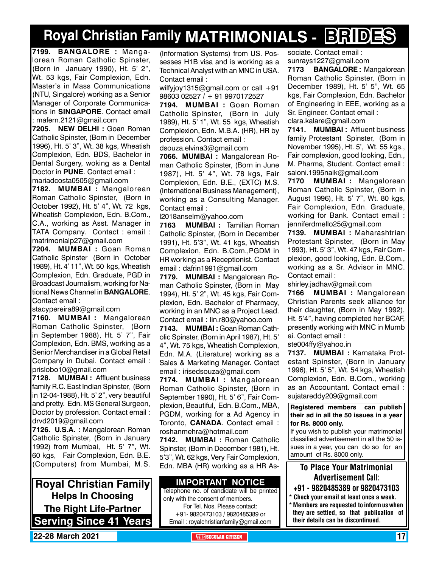# **Royal Christian Family MATRIMONIALS - BRIDES**

**7199. BANGALORE :** Mangalorean Roman Catholic Spinster, (Born in January 1990), Ht. 5' 2", Wt. 53 kgs, Fair Complexion, Edn. Master's in Mass Communications (NTU, Singalore) working as a Senior Manager of Corporate Communications in **SINGAPORE**. Contact email : mafern.2121@gmail.com

**7205. NEW DELHI :** Goan Roman Catholic Spinster, (Born in December 1996), Ht. 5' 3", Wt. 38 kgs, Wheatish Complexion, Edn. BDS, Bachelor in Dental Surgery, woking as a Dental Doctor in **PUNE**. Contact email : mariadcosta0505@gmail.com

**7182. MUMBAI :** Mangalorean Roman Catholic Spinster, (Born in October 1992), Ht. 5' 4", Wt. 72 kgs, Wheatish Complexion, Edn. B.Com., C.A., working as Asst. Manager in TATA Company. Contact : email : matrimonialp27@gmail.com

**7204. MUMBAI :** Goan Roman Catholic Spinster (Born in October 1989), Ht. 4' 11", Wt. 50 kgs, Wheatish Complexion, Edn. Graduate, PGD in Broadcast Journalism, working for National News Channel in **Bangalore**. Contact email :

stacypereira89@gmail.com

**7160. MUMBAI :** Mangalorean Roman Catholic Spinster, (Born in September 1988), Ht. 5' 7", Fair Complexion, Edn. BMS, working as a Senior Merchandiser in a Global Retail Company in Dubai. Contact email : prislobo10@gmail.com

**7128. MUMBAI :** Affluent business family R.C. East Indian Spinster, (Born in 12-04-1988), Ht. 5' 2", very beautiful and pretty. Edn. MS General Surgeon, Doctor by profession. Contact email : drvd2019@gmail.com

**7126. U.S.A. :** Mangalorean Roman Catholic Spinster, (Born in January 1992) from Mumbai, Ht. 5' 7", Wt. 60 kgs, Fair Complexion, Edn. B.E. (Computers) from Mumbai, M.S.

**Royal Christian Family Helps In Choosing The Right Life-Partner Serving Since 41 Years** (Information Systems) from US. Possesses H1B visa and is working as a Technical Analyst with an MNC in USA. Contact email :

wilfyjoy1315@gmail.com or call +91 98603 02527 / + 91 9970172527

**7194. MUMBAI :** Goan Roman Catholic Spinster, (Born in July 1989), Ht. 5' 1", Wt. 55 kgs, Wheatish Complexion, Edn. M.B.A. (HR), HR by profession. Contact email :

dsouza.elvina3@gmail.com

**7066. MUMBAI :** Mangalorean Roman Catholic Spinster, (Born in June 1987), Ht. 5' 4", Wt. 78 kgs, Fair Complexion, Edn. B.E., (EXTC) M.S. (International Business Management), working as a Consulting Manager. Contact email :

l2018anselm@yahoo.com

**7163 MUMBAI :** Tamilian Roman Catholic Spinster, (Born in December 1991), Ht. 5'3", Wt. 41 kgs, Wheatish Complexion, Edn. B.Com.,PGDM in HR working as a Receptionist. Contact email : dafrin1991@gmail.com

**7179. MUMBAI :** Mangalorean Roman Catholic Spinster, (Born in May 1994), Ht. 5' 2", Wt. 45 kgs, Fair Complexion, Edn. Bachelor of Pharmacy, working in an MNC as a Project Lead. Contact email : lin.r80@yahoo.com

**7143. MUMBAI :** Goan Roman Catholic Spinster, (Born in April 1987), Ht. 5' 4", Wt. 75 kgs, Wheatish Complexion, Edn. M.A. (Literature) working as a Sales & Marketing Manager. Contact email : irisedsouza@gmail.com

**7174. MUMBAI :** Mangalorean Roman Catholic Spinster, (Born in September 1990), Ht. 5' 6", Fair Complexion, Beautiful, Edn. B.Com., MBA, PGDM, working for a Ad Agency in Toronto, **Canada**. Contact email : roshanmehra@hotmail.com

**7142. MUMBAI :** Roman Catholic Spinster, (Born in December 1981), Ht. 5'3", Wt. 62 kgs, Very Fair Complexion, Edn. MBA (HR) working as a HR As-

### **Important Notice**

Telephone no. of candidate will be printed only with the consent of members. For Tel. Nos. Please contact: +91- 9820473103 / 9820485389 or Email : royalchristianfamily@gmail.com

sociate. Contact email : sunrays1227@gmail.com **7173 BANGALORE :** Mangalorean Roman Catholic Spinster, (Born in December 1989), Ht. 5' 5", Wt. 65 kgs, Fair Complexion, Edn. Bachelor of Engineering in EEE, working as a Sr. Engineer. Contact email : clara.kalare@gmail.com

**7141. MUMBAI :** Affluent business family Protestant Spinster, (Born in November 1995), Ht. 5', Wt. 55 kgs., Fair complexion, good looking, Edn., M. Pharma, Student. Contact email : saloni.1995naik@gmail.com

**7170 MUMBAI :** Mangalorean Roman Catholic Spinster, (Born in August 1996), Ht. 5' 7", Wt. 80 kgs, Fair Complexion, Edn. Graduate, working for Bank. Contact email : jenniferdmello25@gmail.com

**7139. MUMBAI :** Maharashtrian Protestant Spinster, (Born in May 1993), Ht. 5' 3", Wt. 47 kgs, Fair Complexion, good looking, Edn. B.Com., working as a Sr. Advisor in MNC. Contact email :

shirley.jadhav@gmail.com

**7166 MUMBAI :** Mangalorean Christian Parents seek alliance for their daughter, (Born in May 1992), Ht. 5'4", having completed her BCAF, presently working with MNC in Mumb ai. Contact email :

ste004ffy@yahoo.in

**7137. MUMBAI :** Karnataka Protestant Spinster, (Born in January 1996), Ht. 5' 5", Wt. 54 kgs, Wheatish Complexion, Edn. B.Com., working as an Accountant. Contact email : sujatareddy209@gmail.com

**Registered members can publish their ad in all the 50 issues in a year for Rs. 8000 only.**

If you wish to publish your matrimonial classified advertisement in all the 50 issues in a year, you can do so for an amount of Rs. 8000 only.

### To Place Your Matrimonial Advertisement Call:

- +91 9820485389 or 9820473103
- \* Check your email at least once a week. \* Members are requested to inform us when they are settled, so that publication of their details can be discontinued.

**22-28 March 2021 The Security of The SECULAR CITIZEN 17** THE SECULAR CITIZEN **17** THE SECULAR CITIZEN **17** THE SECULAR CITIZEN **17**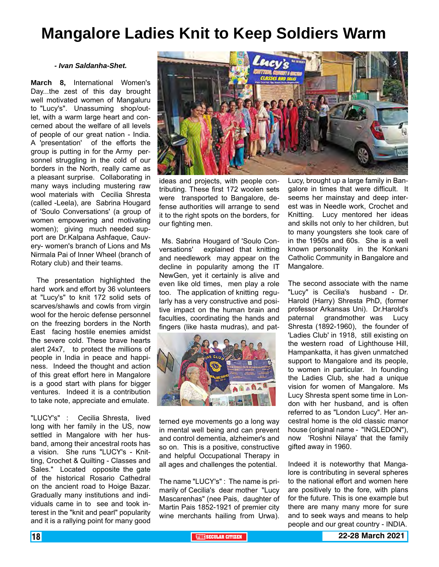## **Mangalore Ladies Knit to Keep Soldiers Warm**

#### *- Ivan Saldanha-Shet.*

**March 8,** International Women's Day...the zest of this day brought well motivated women of Mangaluru to "Lucy's". Unassuming shop/outlet, with a warm large heart and concerned about the welfare of all levels of people of our great nation - India. A 'presentation' of the efforts the group is putting in for the Army personnel struggling in the cold of our borders in the North, really came as a pleasant surprise. Collaborating in many ways including mustering raw wool materials with Cecilia Shresta (called -Leela), are Sabrina Hougard of 'Soulo Conversations' (a group of women empowering and motivating women); giving much needed support are Dr.Kalpana Ashfaque, Cauvery- women's branch of Lions and Ms Nirmala Pai of Inner Wheel (branch of Rotary club) and their teams.

 The presentation highlighted the hard work and effort by 36 volunteers at "Lucy's" to knit 172 solid sets of scarves/shawls and cowls from virgin wool for the heroic defense personnel on the freezing borders in the North East facing hostile enemies amidst the severe cold. These brave hearts alert 24x7, to protect the millions of people in India in peace and happiness. Indeed the thought and action of this great effort here in Mangalore is a good start with plans for bigger ventures. Indeed it is a contribution to take note, appreciate and emulate.

"LUCY's" : Cecilia Shresta, lived long with her family in the US, now settled in Mangalore with her husband, among their ancestral roots has a vision. She runs "LUCY's - Knitting, Crochet & Quilting - Classes and Sales." Located opposite the gate of the historical Rosario Cathedral on the ancient road to Hoige Bazar. Gradually many institutions and individuals came in to see and took interest in the "knit and pearl" popularity and it is a rallying point for many good



ideas and projects, with people contributing. These first 172 woolen sets were transported to Bangalore, defense authorities will arrange to send it to the right spots on the borders, for our fighting men.

 Ms. Sabrina Hougard of 'Soulo Conversations' explained that knitting and needlework may appear on the decline in popularity among the IT NewGen, yet it certainly is alive and even like old times, men play a role too. The application of knitting regularly has a very constructive and positive impact on the human brain and faculties, coordinating the hands and fingers (like hasta mudras), and pat-



terned eye movements go a long way in mental well being and can prevent and control dementia, alzheimer's and so on. This is a positive, constructive and helpful Occupational Therapy in all ages and challenges the potential.

The name "LUCY's" : The name is primarily of Cecilia's dear mother "Lucy Mascarenhas" (nee Pais, daughter of Martin Pais 1852-1921 of premier city wine merchants hailing from Urwa).

Lucy, brought up a large family in Bangalore in times that were difficult. It seems her mainstay and deep interest was in Needle work, Crochet and Knitting. Lucy mentored her ideas and skills not only to her children, but to many youngsters she took care of in the 1950s and 60s. She is a well known personality in the Konkani Catholic Community in Bangalore and Mangalore.

The second associate with the name "Lucy" is Cecilia's husband - Dr. Harold (Harry) Shresta PhD, (former professor Arkansas Uni). Dr.Harold's paternal grandmother was Lucy Shresta (1892-1960), the founder of 'Ladies Club' in 1918, still existing on the western road of Lighthouse Hill, Hampankatta, it has given unmatched support to Mangalore and its people, to women in particular. In founding the Ladies Club, she had a unique vision for women of Mangalore. Ms Lucy Shresta spent some time in London with her husband, and is often referred to as "London Lucy". Her ancestral home is the old classic manor house (original name - "INGLEDON"), now 'Roshni Nilaya' that the family gifted away in 1960.

Indeed it is noteworthy that Mangalore is contributing in several spheres to the national effort and women here are positively to the fore, with plans for the future. This is one example but there are many many more for sure and to seek ways and means to help people and our great country - INDIA.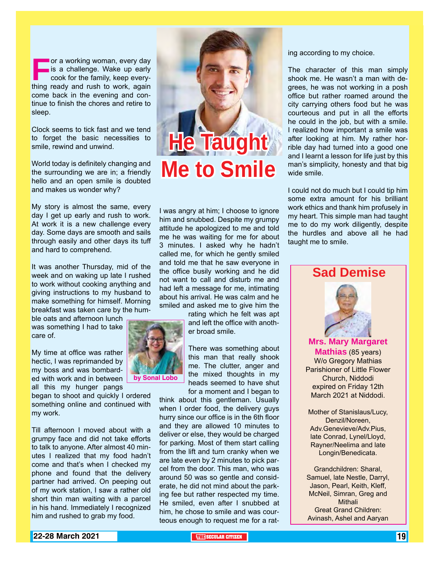**For a working woman, every day** is a challenge. Wake up early cook for the family, keep everything ready and rush to work, again come back in the evening and continue to finish the chores and retire to sleep.

Clock seems to tick fast and we tend to forget the basic necessities to smile, rewind and unwind.

World today is definitely changing and the surrounding we are in; a friendly hello and an open smile is doubted and makes us wonder why?

My story is almost the same, every day I get up early and rush to work. At work it is a new challenge every day. Some days are smooth and sails through easily and other days its tuff and hard to comprehend.

It was another Thursday, mid of the week and on waking up late I rushed to work without cooking anything and giving instructions to my husband to make something for himself. Morning breakfast was taken care by the hum-

ble oats and afternoon lunch was something I had to take care of.

My time at office was rather hectic, I was reprimanded by my boss and was bombarded with work and in between all this my hunger pangs

began to shoot and quickly I ordered something online and continued with my work.

Till afternoon I moved about with a grumpy face and did not take efforts to talk to anyone. After almost 40 minutes I realized that my food hadn't come and that's when I checked my phone and found that the delivery partner had arrived. On peeping out of my work station, I saw a rather old short thin man waiting with a parcel in his hand. Immediately I recognized him and rushed to grab my food.



I was angry at him; I choose to ignore him and snubbed. Despite my grumpy attitude he apologized to me and told me he was waiting for me for about 3 minutes. I asked why he hadn't called me, for which he gently smiled and told me that he saw everyone in the office busily working and he did not want to call and disturb me and had left a message for me, intimating about his arrival. He was calm and he smiled and asked me to give him the

rating which he felt was apt and left the office with another broad smile.

There was something about this man that really shook me. The clutter, anger and the mixed thoughts in my heads seemed to have shut for a moment and I began to

think about this gentleman. Usually when I order food, the delivery guys hurry since our office is in the 6th floor and they are allowed 10 minutes to deliver or else, they would be charged for parking. Most of them start calling from the lift and turn cranky when we are late even by 2 minutes to pick parcel from the door. This man, who was around 50 was so gentle and considerate, he did not mind about the parking fee but rather respected my time. He smiled, even after I snubbed at him, he chose to smile and was courteous enough to request me for a rating according to my choice.

The character of this man simply shook me. He wasn't a man with degrees, he was not working in a posh office but rather roamed around the city carrying others food but he was courteous and put in all the efforts he could in the job, but with a smile. I realized how important a smile was after looking at him. My rather horrible day had turned into a good one and I learnt a lesson for life just by this man's simplicity, honesty and that big wide smile.

I could not do much but I could tip him some extra amount for his brilliant work ethics and thank him profusely in my heart. This simple man had taught me to do my work diligently, despite the hurdles and above all he had taught me to smile.



**Mrs. Mary Margaret Mathias** (85 years) W/o Gregory Mathias Parishioner of Little Flower Church, Niddodi expired on Friday 12th March 2021 at Niddodi.

Mother of Stanislaus/Lucy, Denzil/Noreen, Adv.Genevieve/Adv.Pius, late Conrad, Lynel/Lloyd, Rayner/Neelima and late Longin/Benedicata.

Grandchildren: Sharal, Samuel, late Nestle, Darryl, Jason, Pearl, Keith, Kleff, McNeil, Simran, Greg and Mithali Great Grand Children: Avinash, Ashel and Aaryan



**by Sonal Lobo**